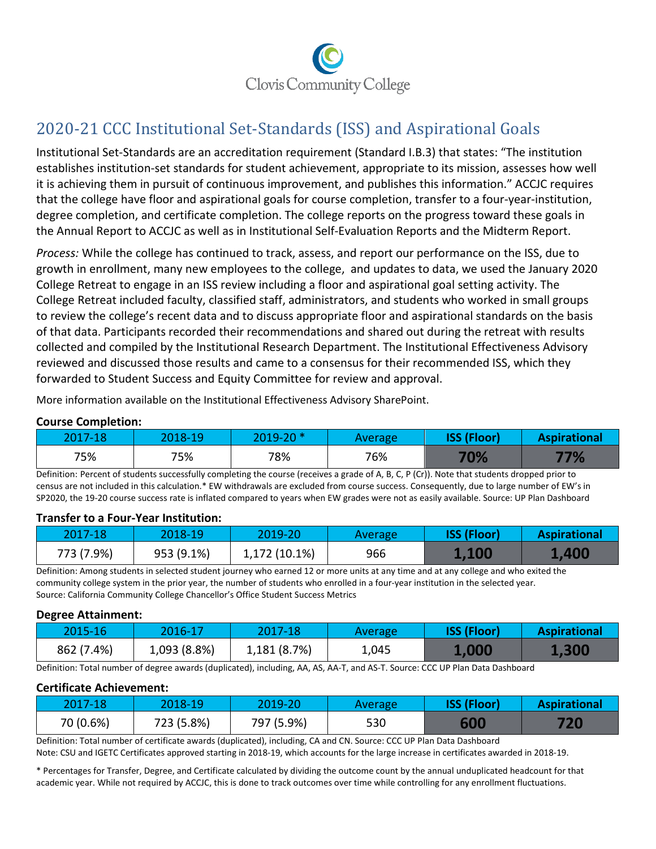

# 2020-21 CCC Institutional Set-Standards (ISS) and Aspirational Goals

Institutional Set-Standards are an accreditation requirement (Standard I.B.3) that states: "The institution establishes institution-set standards for student achievement, appropriate to its mission, assesses how well it is achieving them in pursuit of continuous improvement, and publishes this information." ACCJC requires that the college have floor and aspirational goals for course completion, transfer to a four-year-institution, degree completion, and certificate completion. The college reports on the progress toward these goals in the Annual Report to ACCJC as well as in Institutional Self-Evaluation Reports and the Midterm Report.

*Process:* While the college has continued to track, assess, and report our performance on the ISS, due to growth in enrollment, many new employees to the college, and updates to data, we used the January 2020 College Retreat to engage in an ISS review including a floor and aspirational goal setting activity. The College Retreat included faculty, classified staff, administrators, and students who worked in small groups to review the college's recent data and to discuss appropriate floor and aspirational standards on the basis of that data. Participants recorded their recommendations and shared out during the retreat with results collected and compiled by the Institutional Research Department. The Institutional Effectiveness Advisory reviewed and discussed those results and came to a consensus for their recommended ISS, which they forwarded to Student Success and Equity Committee for review and approval.

More information available on the Institutional Effectiveness Advisory SharePoint.

### **Course Completion:**

| 2017-18 | 2018-19 | $2019 - 20$ * | Average | <b>ISS (Floor)</b> | <b>Aspirational</b> |
|---------|---------|---------------|---------|--------------------|---------------------|
| 75%     | 75%     | 78%           | 76%     | 70%                | 77%                 |

Definition: Percent of students successfully completing the course (receives a grade of A, B, C, P (Cr)). Note that students dropped prior to census are not included in this calculation.\* EW withdrawals are excluded from course success. Consequently, due to large number of EW's in SP2020, the 19-20 course success rate is inflated compared to years when EW grades were not as easily available. Source: UP Plan Dashboard

#### **Transfer to a Four-Year Institution:**

| $2017 - 18$ | 2018-19    | 2019-20       | Average | <b>ISS (Floor)</b> | <b>Aspirational</b> |
|-------------|------------|---------------|---------|--------------------|---------------------|
| 773 (7.9%)  | 953 (9.1%) | 1,172 (10.1%) | 966     | 1,100              | <b>1,400</b>        |

Definition: Among students in selected student journey who earned 12 or more units at any time and at any college and who exited the community college system in the prior year, the number of students who enrolled in a four-year institution in the selected year. Source: California Community College Chancellor's Office Student Success Metrics

#### **Degree Attainment:**

| $2015 - 16$ | 2016-17      | 2017-18      | Average | <b>ISS (Floor)</b> | <b>Aspirational</b> |
|-------------|--------------|--------------|---------|--------------------|---------------------|
| 862 (7.4%)  | 1,093 (8.8%) | 1,181 (8.7%) | 1,045   | <b>1,000</b>       | <b>1,300</b>        |

Definition: Total number of degree awards (duplicated), including, AA, AS, AA-T, and AS-T. Source: CCC UP Plan Data Dashboard

#### **Certificate Achievement:**

| 2017-18   | 2018-19    | 2019-20'   | <b>Average</b> | <b>ISS (Floor)</b> | <b>Aspirational</b> |  |  |
|-----------|------------|------------|----------------|--------------------|---------------------|--|--|
| 70 (0.6%) | 723 (5.8%) | 797 (5.9%) | 530            | 600                | 720                 |  |  |

Definition: Total number of certificate awards (duplicated), including, CA and CN. Source: CCC UP Plan Data Dashboard

Note: CSU and IGETC Certificates approved starting in 2018-19, which accounts for the large increase in certificates awarded in 2018-19.

\* Percentages for Transfer, Degree, and Certificate calculated by dividing the outcome count by the annual unduplicated headcount for that academic year. While not required by ACCJC, this is done to track outcomes over time while controlling for any enrollment fluctuations.